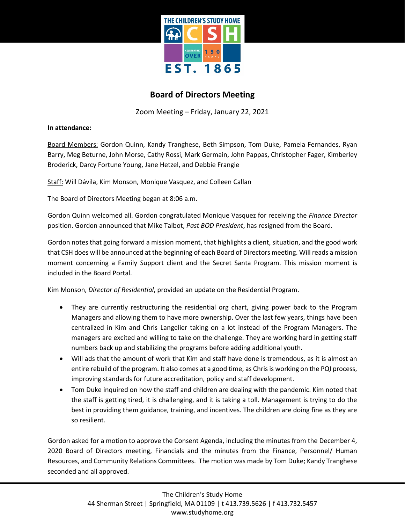

## **Board of Directors Meeting**

Zoom Meeting – Friday, January 22, 2021

**In attendance:**

Board Members: Gordon Quinn, Kandy Tranghese, Beth Simpson, Tom Duke, Pamela Fernandes, Ryan Barry, Meg Beturne, John Morse, Cathy Rossi, Mark Germain, John Pappas, Christopher Fager, Kimberley Broderick, Darcy Fortune Young, Jane Hetzel, and Debbie Frangie

Staff: Will Dávila, Kim Monson, Monique Vasquez, and Colleen Callan

The Board of Directors Meeting began at 8:06 a.m.

Gordon Quinn welcomed all. Gordon congratulated Monique Vasquez for receiving the *Finance Director* position. Gordon announced that Mike Talbot, *Past BOD President*, has resigned from the Board.

Gordon notes that going forward a mission moment, that highlights a client, situation, and the good work that CSH does will be announced at the beginning of each Board of Directors meeting. Will reads a mission moment concerning a Family Support client and the Secret Santa Program. This mission moment is included in the Board Portal.

Kim Monson, *Director of Residential*, provided an update on the Residential Program.

- They are currently restructuring the residential org chart, giving power back to the Program Managers and allowing them to have more ownership. Over the last few years, things have been centralized in Kim and Chris Langelier taking on a lot instead of the Program Managers. The managers are excited and willing to take on the challenge. They are working hard in getting staff numbers back up and stabilizing the programs before adding additional youth.
- Will ads that the amount of work that Kim and staff have done is tremendous, as it is almost an entire rebuild of the program. It also comes at a good time, as Chris is working on the PQI process, improving standards for future accreditation, policy and staff development.
- Tom Duke inquired on how the staff and children are dealing with the pandemic. Kim noted that the staff is getting tired, it is challenging, and it is taking a toll. Management is trying to do the best in providing them guidance, training, and incentives. The children are doing fine as they are so resilient.

Gordon asked for a motion to approve the Consent Agenda, including the minutes from the December 4, 2020 Board of Directors meeting, Financials and the minutes from the Finance, Personnel/ Human Resources, and Community Relations Committees. The motion was made by Tom Duke; Kandy Tranghese seconded and all approved.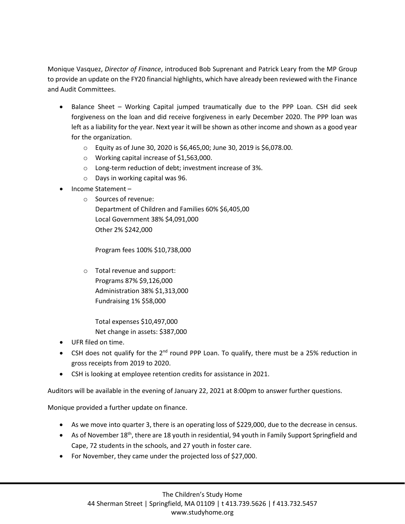Monique Vasquez, *Director of Finance*, introduced Bob Suprenant and Patrick Leary from the MP Group to provide an update on the FY20 financial highlights, which have already been reviewed with the Finance and Audit Committees.

- Balance Sheet Working Capital jumped traumatically due to the PPP Loan. CSH did seek forgiveness on the loan and did receive forgiveness in early December 2020. The PPP loan was left as a liability for the year. Next year it will be shown as other income and shown as a good year for the organization.
	- o Equity as of June 30, 2020 is \$6,465,00; June 30, 2019 is \$6,078.00.
	- o Working capital increase of \$1,563,000.
	- o Long-term reduction of debt; investment increase of 3%.
	- o Days in working capital was 96.
- Income Statement
	- o Sources of revenue:
		- Department of Children and Families 60% \$6,405,00 Local Government 38% \$4,091,000 Other 2% \$242,000

Program fees 100% \$10,738,000

- o Total revenue and support: Programs 87% \$9,126,000 Administration 38% \$1,313,000 Fundraising 1% \$58,000
	- Total expenses \$10,497,000 Net change in assets: \$387,000
- UFR filed on time.
- CSH does not qualify for the 2<sup>nd</sup> round PPP Loan. To qualify, there must be a 25% reduction in gross receipts from 2019 to 2020.
- CSH is looking at employee retention credits for assistance in 2021.

Auditors will be available in the evening of January 22, 2021 at 8:00pm to answer further questions.

Monique provided a further update on finance.

- As we move into quarter 3, there is an operating loss of \$229,000, due to the decrease in census.
- As of November  $18<sup>th</sup>$ , there are 18 youth in residential, 94 youth in Family Support Springfield and Cape, 72 students in the schools, and 27 youth in foster care.
- For November, they came under the projected loss of \$27,000.